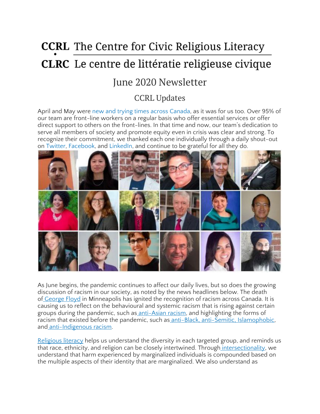# **CCRL** The Centre for Civic Religious Literacy **CLRC** Le centre de littératie religieuse civique

## June 2020 Newsletter

### CCRL Updates

April and May were new and trying times across [Canada,](https://twitter.com/CcrlClrc/status/1244013681010147328) as it was for us too. Over 95% of our team are front-line workers on a regular basis who offer essential services or offer direct support to others on the front-lines. In that time and now, our team's dedication to serve all members of society and promote equity even in crisis was clear and strong. To recognize their commitment, we thanked each one individually through a daily shout-out on [Twitter,](https://twitter.com/CcrlClrc/status/1256657772504068096) [Facebook,](https://www.facebook.com/The-Centre-for-Civic-Religious-Literacy-2033697073383562/) and [LinkedIn,](https://www.linkedin.com/company/ccrl-clrc/) and continue to be grateful for all they do.



As June begins, the pandemic continues to affect our daily lives, but so does the growing discussion of racism in our society, as noted by the news headlines below. The death of [George](https://www.nytimes.com/2020/05/31/us/george-floyd-investigation.html) Floyd in Minneapolis has ignited the recognition of racism across Canada. It is causing us to reflect on the behavioural and systemic racism that is rising against certain groups during the pandemic, such as [anti-Asian](https://www.covidracism.ca/) racism, and highlighting the forms of racism that existed before the pandemic, such as anti-Black, anti-Semitic, [Islamophobic,](https://www150.statcan.gc.ca/n1/pub/85-002-x/2019001/article/00008-eng.htm) and [anti-Indigenous](https://www150.statcan.gc.ca/n1/pub/85-002-x/2020001/article/00003-eng.htm) racism.

[Religious](https://ccrl-clrc.ca/work/what-is-civic-religious-literacy/) literacy helps us understand the diversity in each targeted group, and reminds us that race, ethnicity, and religion can be closely intertwined. Through [intersectionality,](https://www.youtube.com/watch?v=ViDtnfQ9FHc) we understand that harm experienced by marginalized individuals is compounded based on the multiple aspects of their identity that are marginalized. We also understand as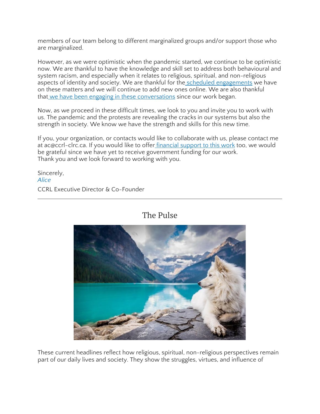members of our team belong to different marginalized groups and/or support those who are marginalized.

However, as we were optimistic when the pandemic started, we continue to be optimistic now. We are thankful to have the knowledge and skill set to address both behavioural and system racism, and especially when it relates to religious, spiritual, and non-religious aspects of identity and society. We are thankful for the scheduled [engagements](https://ccrl-clrc.ca/our-engagements/) we have on these matters and we will continue to add new ones online. We are also thankful that we have been engaging in these [conversations](https://ccrl-clrc.ca/gallery/) since our work began.

Now, as we proceed in these difficult times, we look to you and invite you to work with us. The pandemic and the protests are revealing the cracks in our systems but also the strength in society. We know we have the strength and skills for this new time.

If you, your organization, or contacts would like to collaborate with us, please contact me at ac@ccrl-clrc.ca. If you would like to offer [financial](https://ccrl-clrc.ca/support-us/) support to this work too, we would be grateful since we have yet to receive government funding for our work. Thank you and we look forward to working with you.

Sincerely, *[Alice](https://ccrl-clrc.ca/alice-chan/)* CCRL Executive Director & Co-Founder

The Pulse

These current headlines reflect how religious, spiritual, non-religious perspectives remain part of our daily lives and society. They show the struggles, virtues, and influence of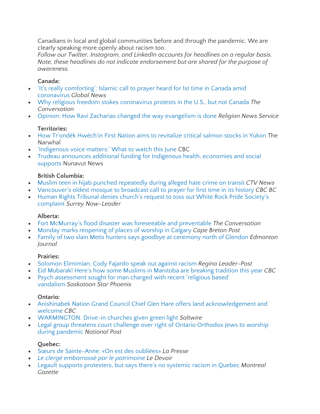Canadians in local and global communities before and through the pandemic. We are clearly speaking more openly about racism too.

*Follow our Twitter, Instagram, and LinkedIn accounts for headlines on a regular basis. Note, these headlines do not indicate endorsement but are shared for the purpose of awareness.*

### **Canada:**

- 'It's really [comforting':](https://globalnews.ca/news/6949730/islam-call-to-prayer-canada/) Islamic call to prayer heard for 1st time in Canada amid [coronavirus](https://globalnews.ca/news/6949730/islam-call-to-prayer-canada/) *Global News*
- Why religious freedom stokes [coronavirus](https://theconversation.com/why-religious-freedom-stokes-coronavirus-protests-in-the-u-s-but-not-canada-136557) protests in the U.S., but not Canada *The Conversation*
- Opinion: How Ravi Zacharias changed the way [evangelism](https://religionnews.com/2020/05/29/the-vision-of-ravi-zacharias/) is done *Religion News Service*

### **Territories:**

- How Tr'ondëk [Hwëch'in](https://thenarwhal.ca/trondek-hwechin-first-nation-aims-revitalize-critical-salmon-stocks-yukon/) First Nation aims to revitalize critical salmon stocks in Yukon The Narwhal
- ['Indigenous](https://www.cbc.ca/television/indigenous-voice-matters-what-to-watch-this-june-1.5590258) voice matters:' What to watch this June CBC
- Trudeau announces additional funding for [Indigenous](https://nunavutnews.com/nunavut-news/trudeau-announces-additional-funding-for-indigenous-health-economies-and-social-supports/) health, economies and social [supports](https://nunavutnews.com/nunavut-news/trudeau-announces-additional-funding-for-indigenous-health-economies-and-social-supports/) Nunavut News

#### **British Columbia:**

- Muslim teen in hijab punched [repeatedly](https://bc.ctvnews.ca/muslim-teen-in-hijab-punched-repeatedly-during-alleged-hate-crime-on-transit-1.4963932) during alleged hate crime on transit *CTV News*
- [Vancouver's](https://www.cbc.ca/news/canada/british-columbia/al-jamia-masjid-mosque-vancouver-call-to-prayer-1.5565850) oldest mosque to broadcast call to prayer for first time in its history *CBC BC*
- Human Rights Tribunal denies church's request to toss out White Rock Pride [Society's](https://www.surreynowleader.com/news/human-rights-tribunal-denies-churchs-request-to-toss-out-white-rock-pride-societys-complaint/) [complaint](https://www.surreynowleader.com/news/human-rights-tribunal-denies-churchs-request-to-toss-out-white-rock-pride-societys-complaint/) *Surrey Now-Leader*

#### **Alberta:**

- Fort McMurray's flood disaster was foreseeable and [preventable](https://theconversation.com/fort-mcmurrays-flood-disaster-was-foreseeable-and-preventable-137850?utm_medium=email&utm_campaign=Latest%20from%20The%20Conversation%20for%20May%2022%202020&utm_content=Latest%20from%20The%20Conversation%20for%20May%2022%202020+CID_01e67f1e63a92e4978c7afb4583eb1f2&utm_source=campaign_monitor_ca&utm_term=Fort%20McMurrays%20flood%20disaster%20was%20foreseeable%20and%20preventable) *The Conversation*
- Monday marks [reopening](https://www.capebretonpost.com/news/canada/monday-marks-reopening-of-places-of-worship-in-calgary-456515/) of places of worship in Calgary *Cape Breton Post*
- Family of two slain Metis hunters says goodbye at [ceremony](https://edmontonjournal.com/news/crime/family-of-2-slain-metis-hunters-says-goodbye-at-ceremony-where-bodies-were-discovered-north-of-glendon/wcm/233a5aac-498e-4675-9949-f81156a62cd1/) north of Glendon *Edmonton Journal*

#### **Prairies:**

- Solomon [Elimimian,](https://leaderpost.com/sports/football/cfl/saskatchewan-roughriders/rob-vanstone-kudos-to-solomon-elimimian-and-cody-fajardo-for-speaking-out/wcm/cc357206-1330-40dd-90df-1c1b0835e7e9/) Cody Fajardo speak out against racism *Regina Leader-Post*
- Eid Mubarak! Here's how some Muslims in [Manitoba](https://www.cbc.ca/news/canada/manitoba/eid-celebrations-during-coronavirus-pandemic-1.5582311) are breaking tradition this year *CBC*
- Psych [assessment](https://thestarphoenix.com/news/crime/psych-assessment-being-considered-for-man-charged-with-recent-religious-based-vandalism) sought for man charged with recent 'religious based' [vandalism](https://thestarphoenix.com/news/crime/psych-assessment-being-considered-for-man-charged-with-recent-religious-based-vandalism) *Saskatoon Star Phoenix*

#### **Ontario:**

- Anishinabek Nation Grand Council Chief Glen Hare offers land [acknowledgement](https://www.cbc.ca/news/canada/sudbury/living-languages-anishinabek-nation-grand-council-chief-glen-hare-land-acknowledgement-welcome-1.5488676) and [welcome](https://www.cbc.ca/news/canada/sudbury/living-languages-anishinabek-nation-grand-council-chief-glen-hare-land-acknowledgement-welcome-1.5488676) *CBC*
- [WARMINGTON:](https://www.saltwire.com/opinion/national-perspectives/warmington-drive-in-churches-given-green-light-450759/) Drive-in churches given green light *Saltwire*
- Legal group threatens court challenge over right of Ontario [Orthodox](https://nationalpost.com/news/legal-group-threatens-court-challenge-over-right-of-ontario-orthodox-jews-to-worship-during-pandemic) Jews to worship during [pandemic](https://nationalpost.com/news/legal-group-threatens-court-challenge-over-right-of-ontario-orthodox-jews-to-worship-during-pandemic) *National Post*

### **Quebec:**

- Sœurs de [Sainte-Anne:](https://www.lapresse.ca/covid-19/202006/01/01-5275967-soeurs-de-sainte-anne-on-est-des-oubliees.php) «On est des oubliées» *La Presse*
- *Le clergé [embarrassé](https://www.ledevoir.com/culture/579854/l-eglise-du-tres-saint-sacrement-bientot-classee) par le patrimoine Le Devoir*
- Legault supports [protesters,](https://montrealgazette.com/news/premier-legault-stands-in-solidarity-with-anti-racism-protesters/wcm/14b423a9-362c-4faf-b974-1055411488b0/) but says there's no systemic racism in Quebec *Montreal Gazette*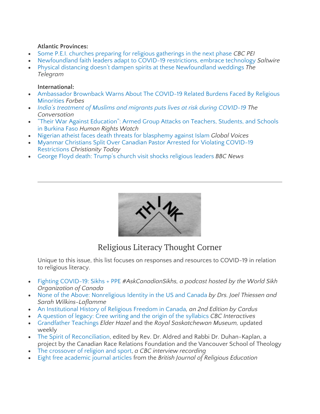#### **Atlantic Provinces:**

- Some P.E.I. churches preparing for religious [gatherings](https://www.cbc.ca/news/canada/prince-edward-island/pei-religious-gathering-phase-3-guidlines-1.5585491) in the next phase *CBC PEI*
- [Newfoundland](https://www.saltwire.com/lifestyles/local-lifestyles/newfoundland-faith-leaders-adapt-to-covid-19-restrictions-embrace-technology-456040/) faith leaders adapt to COVID-19 restrictions, embrace technology *Saltwire*
- Physical distancing doesn't dampen spirits at these [Newfoundland](https://www.thetelegram.com/lifestyles/local-lifestyles/physical-distancing-doesnt-dampen-spirits-at-these-newfoundland-weddings-448957/) weddings *The Telegram*

#### **International:**

- [Ambassador](https://www.forbes.com/sites/ewelinaochab/2020/05/15/ambassador-brownback-warns-about-the-covid-19-related-burdens-faced-by-religious-minorities/#755abe88dfe7) Brownback Warns About The COVID-19 Related Burdens Faced By Religious [Minorities](https://www.forbes.com/sites/ewelinaochab/2020/05/15/ambassador-brownback-warns-about-the-covid-19-related-burdens-faced-by-religious-minorities/#755abe88dfe7) *Forbes*
- *India's treatment of Muslims and migrants puts lives at risk during [COVID-19](https://theconversation.com/indias-treatment-of-muslims-and-migrants-puts-lives-at-risk-during-covid-19-136940?utm_medium=email&utm_campaign=Latest%20from%20The%20Conversation%20for%20May%2021%202020&utm_content=Latest%20from%20The%20Conversation%20for%20May%2021%202020+CID_0d3bd80c3d732022e45bf81479916d99&utm_source=campaign_monitor_ca&utm_term=Indias%20treatment%20of%20Muslims%20and%20migrants%20puts%20lives%20at%20risk%20during%20COVID-19) The Conversation*
- "Their War Against [Education":](https://www.hrw.org/report/2020/05/26/their-war-against-education/armed-group-attacks-teachers-students-and-schools) Armed Group Attacks on Teachers, Students, and Schools in [Burkina](https://www.hrw.org/report/2020/05/26/their-war-against-education/armed-group-attacks-teachers-students-and-schools) Faso *Human Rights Watch*
- Nigerian atheist faces death threats for [blasphemy](https://globalvoices.org/2020/05/01/nigerian-atheist-faces-death-threats-for-blasphemy-against-islam/) against Islam *Global Voices*
- Myanmar Christians Split Over Canadian Pastor Arrested for Violating [COVID-19](https://www.christianitytoday.com/news/2020/may/myanmar-coronavirus-pastor-arrest-david-lah-persecution.html) [Restrictions](https://www.christianitytoday.com/news/2020/may/myanmar-coronavirus-pastor-arrest-david-lah-persecution.html) *Christianity Today*
- George Floyd death: Trump's church visit shocks [religious](https://www.bbc.com/news/world-us-canada-52890650) leaders *BBC News*



### Religious Literacy Thought Corner

Unique to this issue, this list focuses on responses and resources to COVID-19 in relation to religious literacy.

- Fighting [COVID-19:](https://soundcloud.com/askcanadiansikhs/live-from-our-zoom-webinar-fighting-covid-19-sikhs-ppe) Sikhs + PPE *#AskCanadianSikhs, a podcast hosted by the World Sikh Organization of Canada*
- None of the Above: [Nonreligious](https://uofrpress.ca/Books/N/None-of-the-Above) Identity in the US and Canada *by Drs. Joel Thiessen and Sarah Wilkins-Laflamme*
- An [Institutional](https://www.cardus.ca/research/law/reports/an-institutional-history-of-religious-freedom-in-canada/) History of Religious Freedom in Canada*, an 2nd Edition by Cardus*
- A [question](https://newsinteractives.cbc.ca/longform/a-question-of-legacy-cree-writing-and-the-origin-of-the-syllabics) of legacy: Cree writing and the origin of the syllabics *CBC Interactives*
- [Grandfather](https://www.youtube.com/playlist?list=PLbwelRrHWl2UcX-CVhUvNAChzSOpRVVSL) Teachings *Elder Hazel* and the *Royal Saskatchewan Museum,* updated weekly
- The Spirit of [Reconciliation,](https://www.crrf-fcrr.ca/en/canada-beyond-150/the-spirit-of-reconciliation) edited by Rev. Dr. Aldred and Rabbi Dr. Duhan-Kaplan, a project by the Canadian Race Relations Foundation and the Vancouver School of Theology
- The [crossover](https://www.cbc.ca/news/canada/edmonton/programs/radioactive/the-crossover-of-religion-and-sport-1.5484556) of religion and sport, *a CBC interview recording*
- Eight free [academic](https://think.taylorandfrancis.com/cbre-civic-education/?utm_source=TFO&utm_medium=cms&utm_campaign=JPD14020) journal articles from the *British Journal of Religious Education*